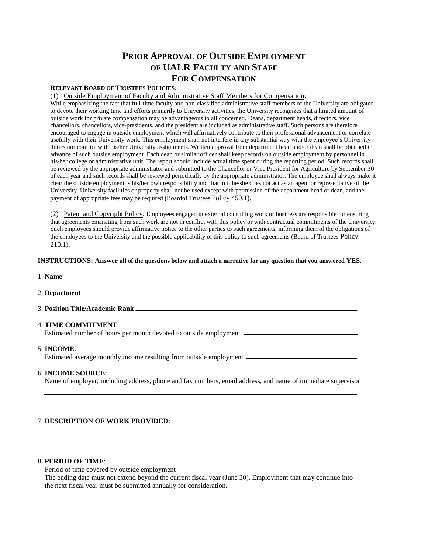# **PRIOR APPROVAL OF OUTSIDE EMPLOYMENT OF UALR FACULTY AND STAFF FOR COMPENSATION**

# **RELEVANT BOARD OF TRUSTEES POLICIES**:

(1) Outside Employment of Faculty and Administrative Staff Members for Compensation:

While emphasizing the fact that full-time faculty and non-classified administrative staff members of the University are obligated to devote their working time and efforts primarily to University activities, the University recognizes that a limited amount of outside work for private compensation may be advantageous to all concerned. Deans, department heads, directors, vice chancellors, chancellors, vice-presidents, and the president are included as administrative staff. Such persons are therefore encouraged to engage in outside employment which will affirmatively contribute to their professional advancement or correlate usefully with their University work. This employment shall not interfere in any substantial way with the employee's University duties nor conflict with his/her University assignments. Written approval from department head and/or dean shall be obtained in advance of such outside employment. Each dean or similar officer shall keep records on outside employment by personnel in his/her college or administrative unit. The report should include actual time spent during the reporting period. Such records shall be reviewed by the appropriate administrator and submitted to the Chancellor or Vice President for Agriculture by September 30 of each year and such records shall be reviewed periodically by the appropriate administrator. The employee shall always make it clear the outside employment is his/her own responsibility and that in it he/she does not act as an agent or representative of the University. University facilities or property shall not be used except with permission of the department head or dean, and the payment of appropriate fees may be required (Boardof Trustees Policy 450.1).

(2) Patent and Copyright Policy: Employees engaged in external consulting work or business are responsible for ensuring that agreements emanating from such work are not in conflict with this policy or with contractual commitments of the University. Such employees should provide affirmative notice to the other parties to such agreements, informing them of the obligations of the employees to the University and the possible applicability of this policy to such agreements (Board of Trustees Policy 210.1).

## **INSTRUCTIONS: Answer all of the questions below and attach a narrative for any question that you answered YES.**

- 1. **Name**
- 2. **Department**
- 3. **Position Title/Academic Rank**
- 4. **TIME COMMITMENT**:

Estimated number of hours per month devoted to outside employment

## 5. **INCOME**:

Estimated average monthly income resulting from outside employment

# 6. **INCOME SOURCE**:

Name of employer, including address, phone and fax numbers, email address, and name of immediate supervisor

## 7. **DESCRIPTION OF WORK PROVIDED**:

# 8. **PERIOD OF TIME**:

Period of time covered by outside employment

 The ending date must not extend beyond the current fiscal year (June 30). Employment that may continue into the next fiscal year must be submitted annually for consideration.